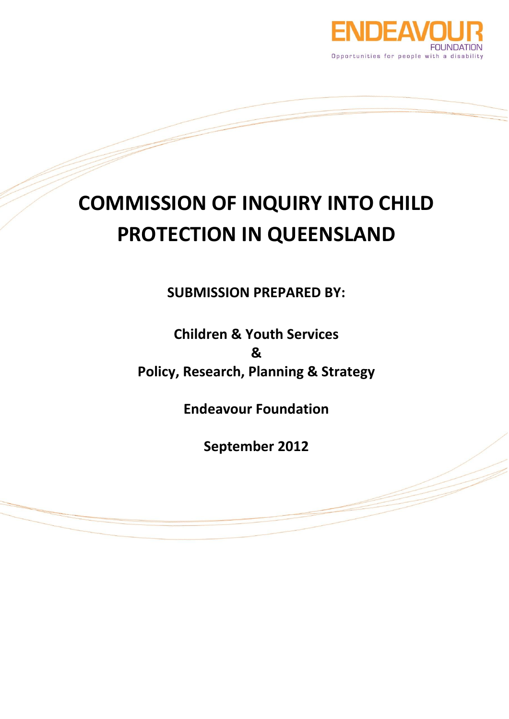

# **COMMISSION OF INQUIRY INTO CHILD PROTECTION IN QUEENSLAND**

**SUBMISSION PREPARED BY:**

**Children & Youth Services & Policy, Research, Planning & Strategy**

**Endeavour Foundation**

**September 2012**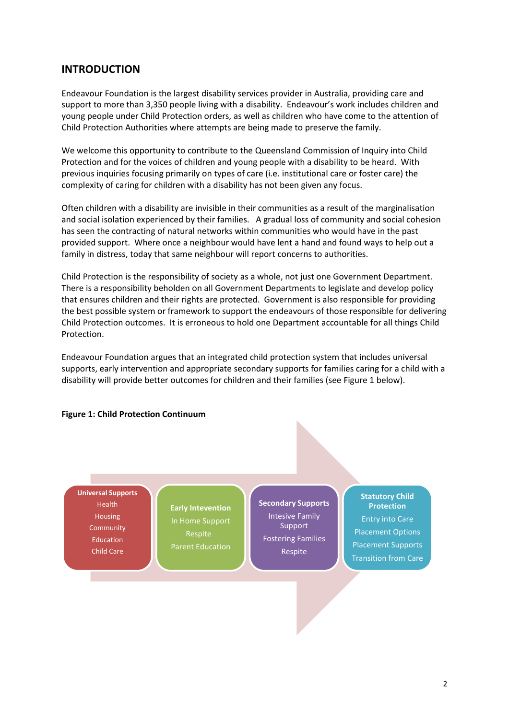# **INTRODUCTION**

Endeavour Foundation is the largest disability services provider in Australia, providing care and support to more than 3,350 people living with a disability. Endeavour's work includes children and young people under Child Protection orders, as well as children who have come to the attention of Child Protection Authorities where attempts are being made to preserve the family.

We welcome this opportunity to contribute to the Queensland Commission of Inquiry into Child Protection and for the voices of children and young people with a disability to be heard. With previous inquiries focusing primarily on types of care (i.e. institutional care or foster care) the complexity of caring for children with a disability has not been given any focus.

Often children with a disability are invisible in their communities as a result of the marginalisation and social isolation experienced by their families. A gradual loss of community and social cohesion has seen the contracting of natural networks within communities who would have in the past provided support. Where once a neighbour would have lent a hand and found ways to help out a family in distress, today that same neighbour will report concerns to authorities.

Child Protection is the responsibility of society as a whole, not just one Government Department. There is a responsibility beholden on all Government Departments to legislate and develop policy that ensures children and their rights are protected. Government is also responsible for providing the best possible system or framework to support the endeavours of those responsible for delivering Child Protection outcomes. It is erroneous to hold one Department accountable for all things Child Protection.

Endeavour Foundation argues that an integrated child protection system that includes universal supports, early intervention and appropriate secondary supports for families caring for a child with a disability will provide better outcomes for children and their families (see Figure 1 below).

#### **Figure 1: Child Protection Continuum**

#### **Universal Supports**

Health Housing **Community** Education Child Care

**Early Intevention** In Home Support Respite Parent Education **Secondary Supports** Intesive Family Support Fostering Families Respite

# **Statutory Child Protection** Entry into Care Placement Options Placement Supports Transition from Care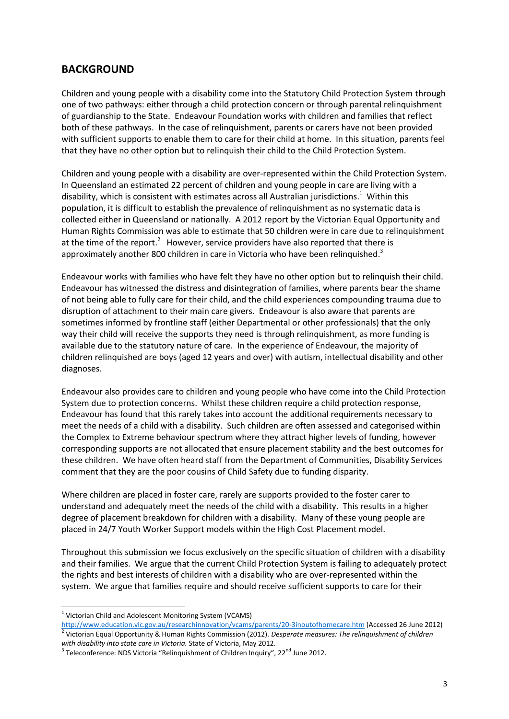# **BACKGROUND**

Children and young people with a disability come into the Statutory Child Protection System through one of two pathways: either through a child protection concern or through parental relinquishment of guardianship to the State. Endeavour Foundation works with children and families that reflect both of these pathways. In the case of relinquishment, parents or carers have not been provided with sufficient supports to enable them to care for their child at home. In this situation, parents feel that they have no other option but to relinquish their child to the Child Protection System.

Children and young people with a disability are over-represented within the Child Protection System. In Queensland an estimated 22 percent of children and young people in care are living with a disability, which is consistent with estimates across all Australian jurisdictions.<sup>1</sup> Within this population, it is difficult to establish the prevalence of relinquishment as no systematic data is collected either in Queensland or nationally. A 2012 report by the Victorian Equal Opportunity and Human Rights Commission was able to estimate that 50 children were in care due to relinquishment at the time of the report.<sup>2</sup> However, service providers have also reported that there is approximately another 800 children in care in Victoria who have been relinquished.<sup>3</sup>

Endeavour works with families who have felt they have no other option but to relinquish their child. Endeavour has witnessed the distress and disintegration of families, where parents bear the shame of not being able to fully care for their child, and the child experiences compounding trauma due to disruption of attachment to their main care givers. Endeavour is also aware that parents are sometimes informed by frontline staff (either Departmental or other professionals) that the only way their child will receive the supports they need is through relinquishment, as more funding is available due to the statutory nature of care. In the experience of Endeavour, the majority of children relinquished are boys (aged 12 years and over) with autism, intellectual disability and other diagnoses.

Endeavour also provides care to children and young people who have come into the Child Protection System due to protection concerns. Whilst these children require a child protection response, Endeavour has found that this rarely takes into account the additional requirements necessary to meet the needs of a child with a disability. Such children are often assessed and categorised within the Complex to Extreme behaviour spectrum where they attract higher levels of funding, however corresponding supports are not allocated that ensure placement stability and the best outcomes for these children. We have often heard staff from the Department of Communities, Disability Services comment that they are the poor cousins of Child Safety due to funding disparity.

Where children are placed in foster care, rarely are supports provided to the foster carer to understand and adequately meet the needs of the child with a disability. This results in a higher degree of placement breakdown for children with a disability. Many of these young people are placed in 24/7 Youth Worker Support models within the High Cost Placement model.

Throughout this submission we focus exclusively on the specific situation of children with a disability and their families. We argue that the current Child Protection System is failing to adequately protect the rights and best interests of children with a disability who are over-represented within the system. We argue that families require and should receive sufficient supports to care for their

<sup>&</sup>lt;sup>1</sup> Victorian Child and Adolescent Monitoring System (VCAMS)

<http://www.education.vic.gov.au/researchinnovation/vcams/parents/20-3inoutofhomecare.htm> (Accessed 26 June 2012) 2 Victorian Equal Opportunity & Human Rights Commission (2012). *Desperate measures: The relinquishment of children* 

*with disability into state care in Victoria.* State of Victoria, May 2012.

 $^3$  Teleconference: NDS Victoria "Relinquishment of Children Inquiry", 22<sup>nd</sup> June 2012.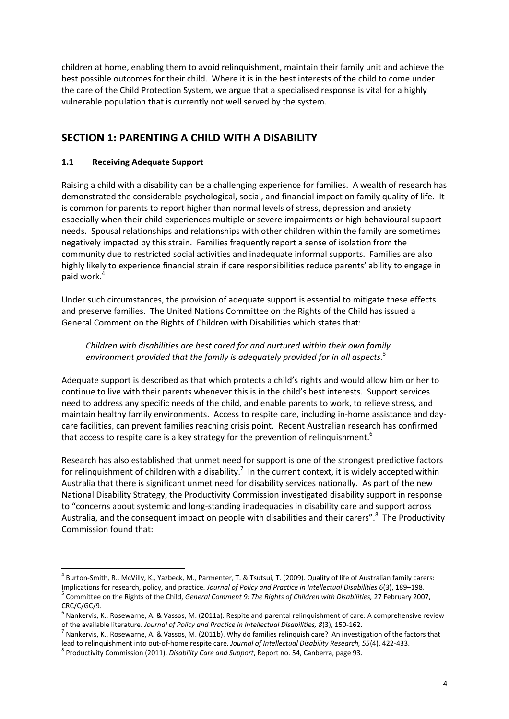children at home, enabling them to avoid relinquishment, maintain their family unit and achieve the best possible outcomes for their child. Where it is in the best interests of the child to come under the care of the Child Protection System, we argue that a specialised response is vital for a highly vulnerable population that is currently not well served by the system.

# **SECTION 1: PARENTING A CHILD WITH A DISABILITY**

## **1.1 Receiving Adequate Support**

**.** 

Raising a child with a disability can be a challenging experience for families. A wealth of research has demonstrated the considerable psychological, social, and financial impact on family quality of life. It is common for parents to report higher than normal levels of stress, depression and anxiety especially when their child experiences multiple or severe impairments or high behavioural support needs. Spousal relationships and relationships with other children within the family are sometimes negatively impacted by this strain. Families frequently report a sense of isolation from the community due to restricted social activities and inadequate informal supports. Families are also highly likely to experience financial strain if care responsibilities reduce parents' ability to engage in paid work.<sup>4</sup>

Under such circumstances, the provision of adequate support is essential to mitigate these effects and preserve families. The United Nations Committee on the Rights of the Child has issued a General Comment on the Rights of Children with Disabilities which states that:

## *Children with disabilities are best cared for and nurtured within their own family environment provided that the family is adequately provided for in all aspects.<sup>5</sup>*

Adequate support is described as that which protects a child's rights and would allow him or her to continue to live with their parents whenever this is in the child's best interests. Support services need to address any specific needs of the child, and enable parents to work, to relieve stress, and maintain healthy family environments. Access to respite care, including in-home assistance and daycare facilities, can prevent families reaching crisis point. Recent Australian research has confirmed that access to respite care is a key strategy for the prevention of relinquishment.<sup>6</sup>

Research has also established that unmet need for support is one of the strongest predictive factors for relinquishment of children with a disability.<sup>7</sup> In the current context, it is widely accepted within Australia that there is significant unmet need for disability services nationally. As part of the new National Disability Strategy, the Productivity Commission investigated disability support in response to "concerns about systemic and long-standing inadequacies in disability care and support across Australia, and the consequent impact on people with disabilities and their carers".<sup>8</sup> The Productivity Commission found that:

<sup>4</sup> Burton-Smith, R., McVilly, K., Yazbeck, M., Parmenter, T. & Tsutsui, T. (2009). Quality of life of Australian family carers: Implications for research, policy, and practice. *Journal of Policy and Practice in Intellectual Disabilities 6*(3), 189–198. 5 Committee on the Rights of the Child, *General Comment 9: The Rights of Children with Disabilities,* 27 February 2007, CRC/C/GC/9.

 $^6$  Nankervis, K., Rosewarne, A. & Vassos, M. (2011a). Respite and parental relinquishment of care: A comprehensive review of the available literature. *Journal of Policy and Practice in Intellectual Disabilities, 8*(3), 150-162.

<sup>&</sup>lt;sup>7</sup> Nankervis, K., Rosewarne, A. & Vassos, M. (2011b). Why do families relinquish care? An investigation of the factors that lead to relinquishment into out-of-home respite care. *Journal of Intellectual Disability Research, 55*(4), 422-433.

<sup>8</sup> Productivity Commission (2011). *Disability Care and Support*, Report no. 54, Canberra, page 93.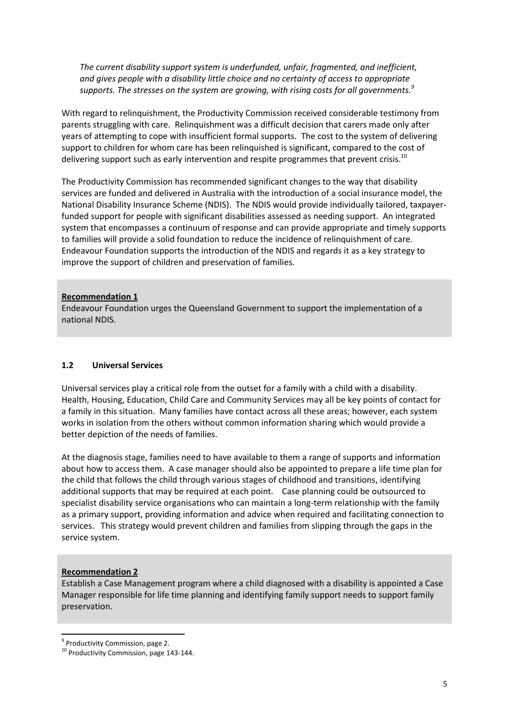*The current disability support system is underfunded, unfair, fragmented, and inefficient, and gives people with a disability little choice and no certainty of access to appropriate supports. The stresses on the system are growing, with rising costs for all governments.<sup>9</sup>*

With regard to relinquishment, the Productivity Commission received considerable testimony from parents struggling with care. Relinquishment was a difficult decision that carers made only after years of attempting to cope with insufficient formal supports. The cost to the system of delivering support to children for whom care has been relinquished is significant, compared to the cost of delivering support such as early intervention and respite programmes that prevent crisis.<sup>10</sup>

The Productivity Commission has recommended significant changes to the way that disability services are funded and delivered in Australia with the introduction of a social insurance model, the National Disability Insurance Scheme (NDIS). The NDIS would provide individually tailored, taxpayerfunded support for people with significant disabilities assessed as needing support. An integrated system that encompasses a continuum of response and can provide appropriate and timely supports to families will provide a solid foundation to reduce the incidence of relinquishment of care. Endeavour Foundation supports the introduction of the NDIS and regards it as a key strategy to improve the support of children and preservation of families.

#### **Recommendation 1**

Endeavour Foundation urges the Queensland Government to support the implementation of a national NDIS.

## **1.2 Universal Services**

Universal services play a critical role from the outset for a family with a child with a disability. Health, Housing, Education, Child Care and Community Services may all be key points of contact for a family in this situation. Many families have contact across all these areas; however, each system works in isolation from the others without common information sharing which would provide a better depiction of the needs of families.

At the diagnosis stage, families need to have available to them a range of supports and information about how to access them. A case manager should also be appointed to prepare a life time plan for the child that follows the child through various stages of childhood and transitions, identifying additional supports that may be required at each point. Case planning could be outsourced to specialist disability service organisations who can maintain a long-term relationship with the family as a primary support, providing information and advice when required and facilitating connection to services. This strategy would prevent children and families from slipping through the gaps in the service system.

#### **Recommendation 2**

**.** 

Establish a Case Management program where a child diagnosed with a disability is appointed a Case Manager responsible for life time planning and identifying family support needs to support family preservation.

<sup>&</sup>lt;sup>9</sup> Productivity Commission, page 2.

<sup>&</sup>lt;sup>10</sup> Productivity Commission, page 143-144.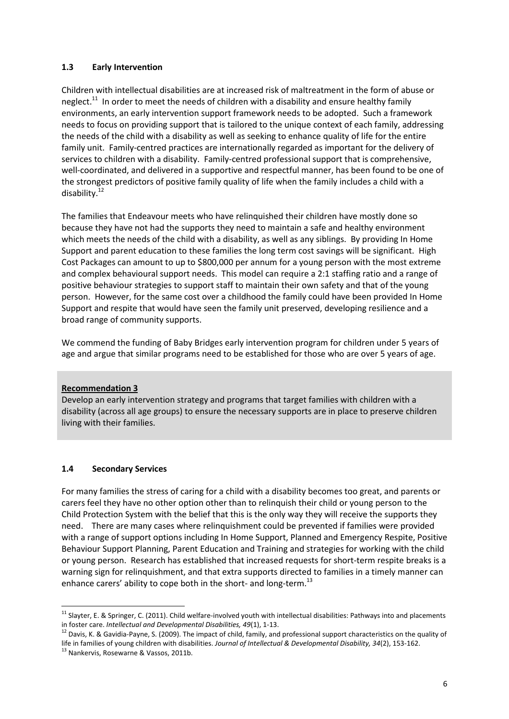## **1.3 Early Intervention**

Children with intellectual disabilities are at increased risk of maltreatment in the form of abuse or neglect.<sup>11</sup> In order to meet the needs of children with a disability and ensure healthy family environments, an early intervention support framework needs to be adopted. Such a framework needs to focus on providing support that is tailored to the unique context of each family, addressing the needs of the child with a disability as well as seeking to enhance quality of life for the entire family unit. Family-centred practices are internationally regarded as important for the delivery of services to children with a disability. Family-centred professional support that is comprehensive, well-coordinated, and delivered in a supportive and respectful manner, has been found to be one of the strongest predictors of positive family quality of life when the family includes a child with a disability. 12

The families that Endeavour meets who have relinquished their children have mostly done so because they have not had the supports they need to maintain a safe and healthy environment which meets the needs of the child with a disability, as well as any siblings. By providing In Home Support and parent education to these families the long term cost savings will be significant. High Cost Packages can amount to up to \$800,000 per annum for a young person with the most extreme and complex behavioural support needs. This model can require a 2:1 staffing ratio and a range of positive behaviour strategies to support staff to maintain their own safety and that of the young person. However, for the same cost over a childhood the family could have been provided In Home Support and respite that would have seen the family unit preserved, developing resilience and a broad range of community supports.

We commend the funding of Baby Bridges early intervention program for children under 5 years of age and argue that similar programs need to be established for those who are over 5 years of age.

## **Recommendation 3**

Develop an early intervention strategy and programs that target families with children with a disability (across all age groups) to ensure the necessary supports are in place to preserve children living with their families.

#### **1.4 Secondary Services**

For many families the stress of caring for a child with a disability becomes too great, and parents or carers feel they have no other option other than to relinquish their child or young person to the Child Protection System with the belief that this is the only way they will receive the supports they need. There are many cases where relinquishment could be prevented if families were provided with a range of support options including In Home Support, Planned and Emergency Respite, Positive Behaviour Support Planning, Parent Education and Training and strategies for working with the child or young person. Research has established that increased requests for short-term respite breaks is a warning sign for relinquishment, and that extra supports directed to families in a timely manner can enhance carers' ability to cope both in the short- and long-term.<sup>13</sup>

<sup>&</sup>lt;sup>11</sup> Slayter, E. & Springer, C. (2011). Child welfare-involved youth with intellectual disabilities: Pathways into and placements in foster care. *Intellectual and Developmental Disabilities, 49*(1), 1-13.

 $12$  Davis, K. & Gavidia-Payne, S. (2009). The impact of child, family, and professional support characteristics on the quality of life in families of young children with disabilities. *Journal of Intellectual & Developmental Disability, 34*(2), 153-162.

<sup>&</sup>lt;sup>13</sup> Nankervis, Rosewarne & Vassos, 2011b.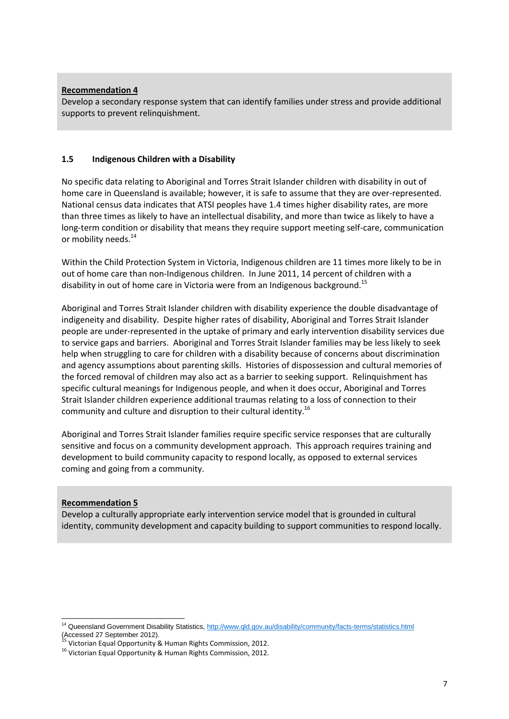#### **Recommendation 4**

Develop a secondary response system that can identify families under stress and provide additional supports to prevent relinquishment.

#### **1.5 Indigenous Children with a Disability**

No specific data relating to Aboriginal and Torres Strait Islander children with disability in out of home care in Queensland is available; however, it is safe to assume that they are over-represented. National census data indicates that ATSI peoples have 1.4 times higher disability rates, are more than three times as likely to have an intellectual disability, and more than twice as likely to have a long-term condition or disability that means they require support meeting self-care, communication or mobility needs.<sup>14</sup>

Within the Child Protection System in Victoria, Indigenous children are 11 times more likely to be in out of home care than non-Indigenous children. In June 2011, 14 percent of children with a disability in out of home care in Victoria were from an Indigenous background.<sup>15</sup>

Aboriginal and Torres Strait Islander children with disability experience the double disadvantage of indigeneity and disability. Despite higher rates of disability, Aboriginal and Torres Strait Islander people are under-represented in the uptake of primary and early intervention disability services due to service gaps and barriers. Aboriginal and Torres Strait Islander families may be less likely to seek help when struggling to care for children with a disability because of concerns about discrimination and agency assumptions about parenting skills. Histories of dispossession and cultural memories of the forced removal of children may also act as a barrier to seeking support. Relinquishment has specific cultural meanings for Indigenous people, and when it does occur, Aboriginal and Torres Strait Islander children experience additional traumas relating to a loss of connection to their community and culture and disruption to their cultural identity.<sup>16</sup>

Aboriginal and Torres Strait Islander families require specific service responses that are culturally sensitive and focus on a community development approach. This approach requires training and development to build community capacity to respond locally, as opposed to external services coming and going from a community.

#### **Recommendation 5**

Develop a culturally appropriate early intervention service model that is grounded in cultural identity, community development and capacity building to support communities to respond locally.

**<sup>.</sup>** <sup>14</sup> Queensland Government Disability Statistics,<http://www.qld.gov.au/disability/community/facts-terms/statistics.html> (Accessed 27 September 2012). <sup>15</sup> Victorian Equal Opportunity & Human Rights Commission, 2012.

<sup>&</sup>lt;sup>16</sup> Victorian Equal Opportunity & Human Rights Commission, 2012.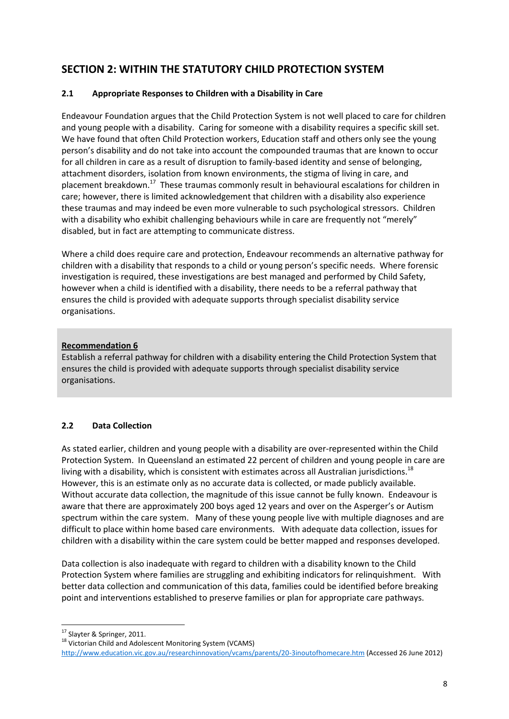# **SECTION 2: WITHIN THE STATUTORY CHILD PROTECTION SYSTEM**

# **2.1 Appropriate Responses to Children with a Disability in Care**

Endeavour Foundation argues that the Child Protection System is not well placed to care for children and young people with a disability. Caring for someone with a disability requires a specific skill set. We have found that often Child Protection workers, Education staff and others only see the young person's disability and do not take into account the compounded traumas that are known to occur for all children in care as a result of disruption to family-based identity and sense of belonging, attachment disorders, isolation from known environments, the stigma of living in care, and placement breakdown.<sup>17</sup> These traumas commonly result in behavioural escalations for children in care; however, there is limited acknowledgement that children with a disability also experience these traumas and may indeed be even more vulnerable to such psychological stressors. Children with a disability who exhibit challenging behaviours while in care are frequently not "merely" disabled, but in fact are attempting to communicate distress.

Where a child does require care and protection, Endeavour recommends an alternative pathway for children with a disability that responds to a child or young person's specific needs. Where forensic investigation is required, these investigations are best managed and performed by Child Safety, however when a child is identified with a disability, there needs to be a referral pathway that ensures the child is provided with adequate supports through specialist disability service organisations.

# **Recommendation 6**

Establish a referral pathway for children with a disability entering the Child Protection System that ensures the child is provided with adequate supports through specialist disability service organisations.

# **2.2 Data Collection**

As stated earlier, children and young people with a disability are over-represented within the Child Protection System. In Queensland an estimated 22 percent of children and young people in care are living with a disability, which is consistent with estimates across all Australian jurisdictions.<sup>18</sup> However, this is an estimate only as no accurate data is collected, or made publicly available. Without accurate data collection, the magnitude of this issue cannot be fully known. Endeavour is aware that there are approximately 200 boys aged 12 years and over on the Asperger's or Autism spectrum within the care system. Many of these young people live with multiple diagnoses and are difficult to place within home based care environments. With adequate data collection, issues for children with a disability within the care system could be better mapped and responses developed.

Data collection is also inadequate with regard to children with a disability known to the Child Protection System where families are struggling and exhibiting indicators for relinquishment. With better data collection and communication of this data, families could be identified before breaking point and interventions established to preserve families or plan for appropriate care pathways.

1 <sup>17</sup> Slayter & Springer, 2011.

<sup>18</sup> Victorian Child and Adolescent Monitoring System (VCAMS)

<http://www.education.vic.gov.au/researchinnovation/vcams/parents/20-3inoutofhomecare.htm> (Accessed 26 June 2012)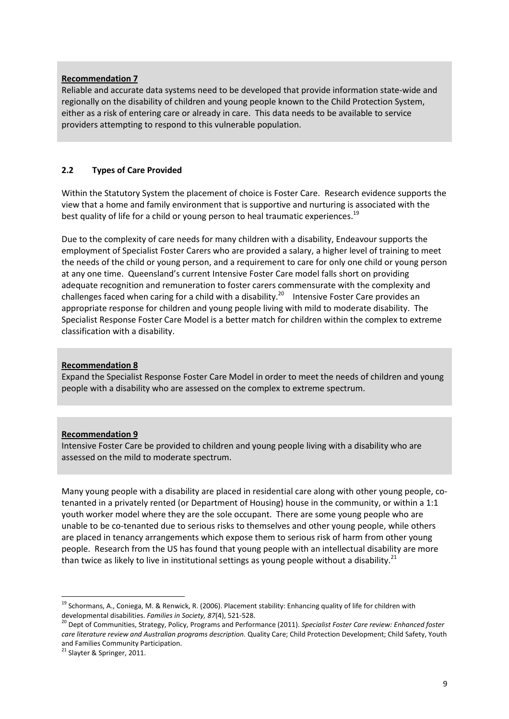#### **Recommendation 7**

Reliable and accurate data systems need to be developed that provide information state-wide and regionally on the disability of children and young people known to the Child Protection System, either as a risk of entering care or already in care. This data needs to be available to service providers attempting to respond to this vulnerable population.

#### **2.2 Types of Care Provided**

Within the Statutory System the placement of choice is Foster Care. Research evidence supports the view that a home and family environment that is supportive and nurturing is associated with the best quality of life for a child or young person to heal traumatic experiences.<sup>19</sup>

Due to the complexity of care needs for many children with a disability, Endeavour supports the employment of Specialist Foster Carers who are provided a salary, a higher level of training to meet the needs of the child or young person, and a requirement to care for only one child or young person at any one time. Queensland's current Intensive Foster Care model falls short on providing adequate recognition and remuneration to foster carers commensurate with the complexity and challenges faced when caring for a child with a disability.<sup>20</sup> Intensive Foster Care provides an appropriate response for children and young people living with mild to moderate disability. The Specialist Response Foster Care Model is a better match for children within the complex to extreme classification with a disability.

#### **Recommendation 8**

Expand the Specialist Response Foster Care Model in order to meet the needs of children and young people with a disability who are assessed on the complex to extreme spectrum.

#### **Recommendation 9**

Intensive Foster Care be provided to children and young people living with a disability who are assessed on the mild to moderate spectrum.

Many young people with a disability are placed in residential care along with other young people, cotenanted in a privately rented (or Department of Housing) house in the community, or within a 1:1 youth worker model where they are the sole occupant. There are some young people who are unable to be co-tenanted due to serious risks to themselves and other young people, while others are placed in tenancy arrangements which expose them to serious risk of harm from other young people. Research from the US has found that young people with an intellectual disability are more than twice as likely to live in institutional settings as young people without a disability.<sup>21</sup>

<sup>&</sup>lt;sup>19</sup> Schormans, A., Coniega, M. & Renwick, R. (2006). Placement stability: Enhancing quality of life for children with developmental disabilities. *Families in Society, 87*(4), 521-528.

<sup>20</sup> Dept of Communities, Strategy, Policy, Programs and Performance (2011). *Specialist Foster Care review: Enhanced foster care literature review and Australian programs description.* Quality Care; Child Protection Development; Child Safety, Youth and Families Community Participation.

<sup>&</sup>lt;sup>21</sup> Slayter & Springer, 2011.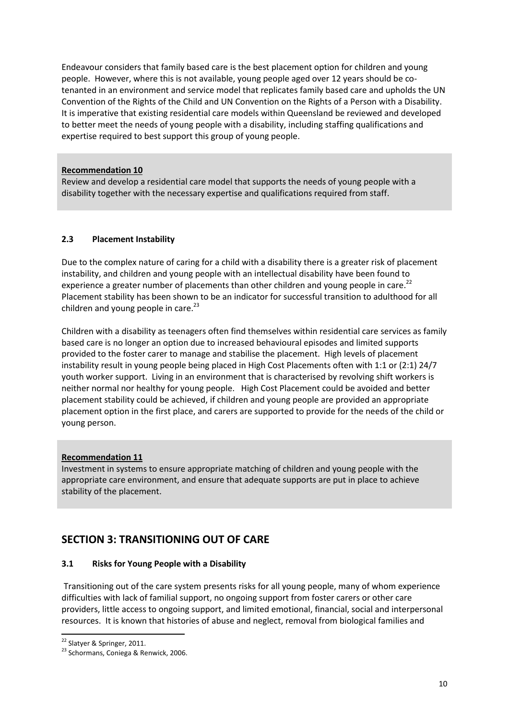Endeavour considers that family based care is the best placement option for children and young people. However, where this is not available, young people aged over 12 years should be cotenanted in an environment and service model that replicates family based care and upholds the UN Convention of the Rights of the Child and UN Convention on the Rights of a Person with a Disability. It is imperative that existing residential care models within Queensland be reviewed and developed to better meet the needs of young people with a disability, including staffing qualifications and expertise required to best support this group of young people.

#### **Recommendation 10**

Review and develop a residential care model that supports the needs of young people with a disability together with the necessary expertise and qualifications required from staff.

## **2.3 Placement Instability**

Due to the complex nature of caring for a child with a disability there is a greater risk of placement instability, and children and young people with an intellectual disability have been found to experience a greater number of placements than other children and young people in care.<sup>22</sup> Placement stability has been shown to be an indicator for successful transition to adulthood for all children and young people in care.<sup>23</sup>

Children with a disability as teenagers often find themselves within residential care services as family based care is no longer an option due to increased behavioural episodes and limited supports provided to the foster carer to manage and stabilise the placement. High levels of placement instability result in young people being placed in High Cost Placements often with 1:1 or (2:1) 24/7 youth worker support. Living in an environment that is characterised by revolving shift workers is neither normal nor healthy for young people. High Cost Placement could be avoided and better placement stability could be achieved, if children and young people are provided an appropriate placement option in the first place, and carers are supported to provide for the needs of the child or young person.

## **Recommendation 11**

Investment in systems to ensure appropriate matching of children and young people with the appropriate care environment, and ensure that adequate supports are put in place to achieve stability of the placement.

# **SECTION 3: TRANSITIONING OUT OF CARE**

## **3.1 Risks for Young People with a Disability**

Transitioning out of the care system presents risks for all young people, many of whom experience difficulties with lack of familial support, no ongoing support from foster carers or other care providers, little access to ongoing support, and limited emotional, financial, social and interpersonal resources. It is known that histories of abuse and neglect, removal from biological families and

**<sup>.</sup>** <sup>22</sup> Slatyer & Springer, 2011.

<sup>&</sup>lt;sup>23</sup> Schormans, Coniega & Renwick, 2006.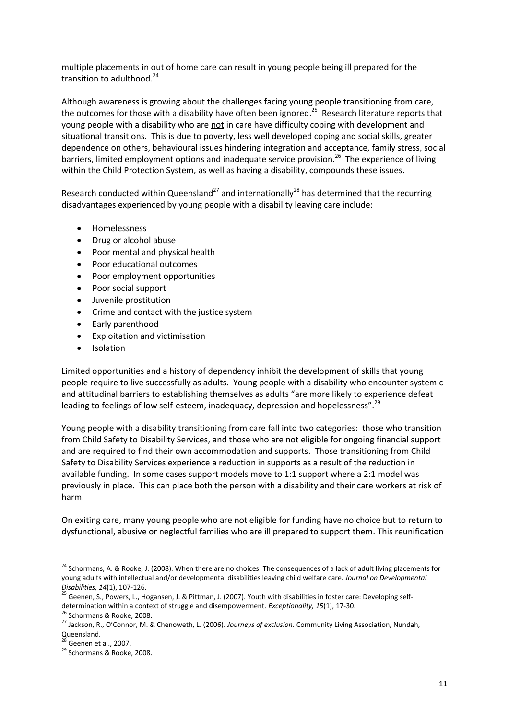multiple placements in out of home care can result in young people being ill prepared for the transition to adulthood. 24

Although awareness is growing about the challenges facing young people transitioning from care, the outcomes for those with a disability have often been ignored.<sup>25</sup> Research literature reports that young people with a disability who are not in care have difficulty coping with development and situational transitions. This is due to poverty, less well developed coping and social skills, greater dependence on others, behavioural issues hindering integration and acceptance, family stress, social barriers, limited employment options and inadequate service provision.<sup>26</sup> The experience of living within the Child Protection System, as well as having a disability, compounds these issues.

Research conducted within Queensland<sup>27</sup> and internationally<sup>28</sup> has determined that the recurring disadvantages experienced by young people with a disability leaving care include:

- Homelessness
- Drug or alcohol abuse
- Poor mental and physical health
- Poor educational outcomes
- Poor employment opportunities
- Poor social support
- Juvenile prostitution
- Crime and contact with the justice system
- Early parenthood
- Exploitation and victimisation
- Isolation

Limited opportunities and a history of dependency inhibit the development of skills that young people require to live successfully as adults. Young people with a disability who encounter systemic and attitudinal barriers to establishing themselves as adults "are more likely to experience defeat leading to feelings of low self-esteem, inadequacy, depression and hopelessness".<sup>29</sup>

Young people with a disability transitioning from care fall into two categories: those who transition from Child Safety to Disability Services, and those who are not eligible for ongoing financial support and are required to find their own accommodation and supports. Those transitioning from Child Safety to Disability Services experience a reduction in supports as a result of the reduction in available funding. In some cases support models move to 1:1 support where a 2:1 model was previously in place. This can place both the person with a disability and their care workers at risk of harm.

On exiting care, many young people who are not eligible for funding have no choice but to return to dysfunctional, abusive or neglectful families who are ill prepared to support them. This reunification

<sup>&</sup>lt;sup>24</sup> Schormans, A. & Rooke, J. (2008). When there are no choices: The consequences of a lack of adult living placements for young adults with intellectual and/or developmental disabilities leaving child welfare care. *Journal on Developmental Disabilities, 14*(1), 107-126.

<sup>&</sup>lt;sup>25</sup> Geenen, S., Powers, L., Hogansen, J. & Pittman, J. (2007). Youth with disabilities in foster care: Developing selfdetermination within a context of struggle and disempowerment. *Exceptionality, 15*(1), 17-30.

<sup>&</sup>lt;sup>26</sup> Schormans & Rooke, 2008.

<sup>27</sup> Jackson, R., O'Connor, M. & Chenoweth, L. (2006). *Journeys of exclusion.* Community Living Association, Nundah, Queensland.

 $28$  Geenen et al., 2007.

<sup>&</sup>lt;sup>29</sup> Schormans & Rooke, 2008.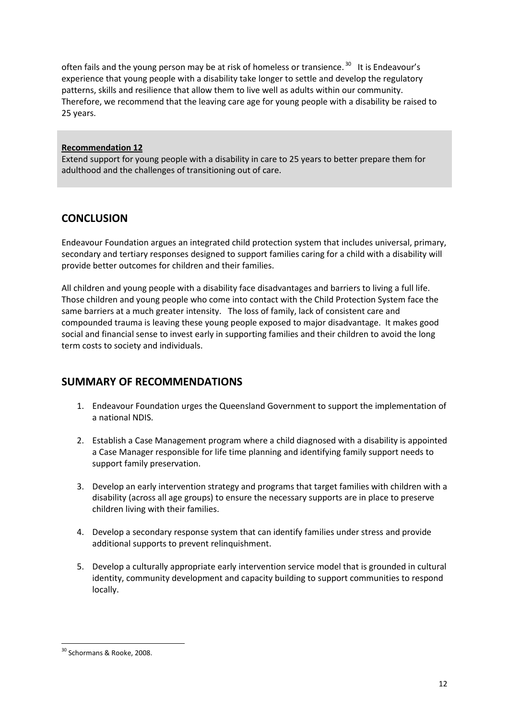often fails and the young person may be at risk of homeless or transience.<sup>30</sup> It is Endeavour's experience that young people with a disability take longer to settle and develop the regulatory patterns, skills and resilience that allow them to live well as adults within our community. Therefore, we recommend that the leaving care age for young people with a disability be raised to 25 years.

#### **Recommendation 12**

Extend support for young people with a disability in care to 25 years to better prepare them for adulthood and the challenges of transitioning out of care.

# **CONCLUSION**

Endeavour Foundation argues an integrated child protection system that includes universal, primary, secondary and tertiary responses designed to support families caring for a child with a disability will provide better outcomes for children and their families.

All children and young people with a disability face disadvantages and barriers to living a full life. Those children and young people who come into contact with the Child Protection System face the same barriers at a much greater intensity. The loss of family, lack of consistent care and compounded trauma is leaving these young people exposed to major disadvantage. It makes good social and financial sense to invest early in supporting families and their children to avoid the long term costs to society and individuals.

# **SUMMARY OF RECOMMENDATIONS**

- 1. Endeavour Foundation urges the Queensland Government to support the implementation of a national NDIS.
- 2. Establish a Case Management program where a child diagnosed with a disability is appointed a Case Manager responsible for life time planning and identifying family support needs to support family preservation.
- 3. Develop an early intervention strategy and programs that target families with children with a disability (across all age groups) to ensure the necessary supports are in place to preserve children living with their families.
- 4. Develop a secondary response system that can identify families under stress and provide additional supports to prevent relinquishment.
- 5. Develop a culturally appropriate early intervention service model that is grounded in cultural identity, community development and capacity building to support communities to respond locally.

<sup>30</sup> Schormans & Rooke, 2008.